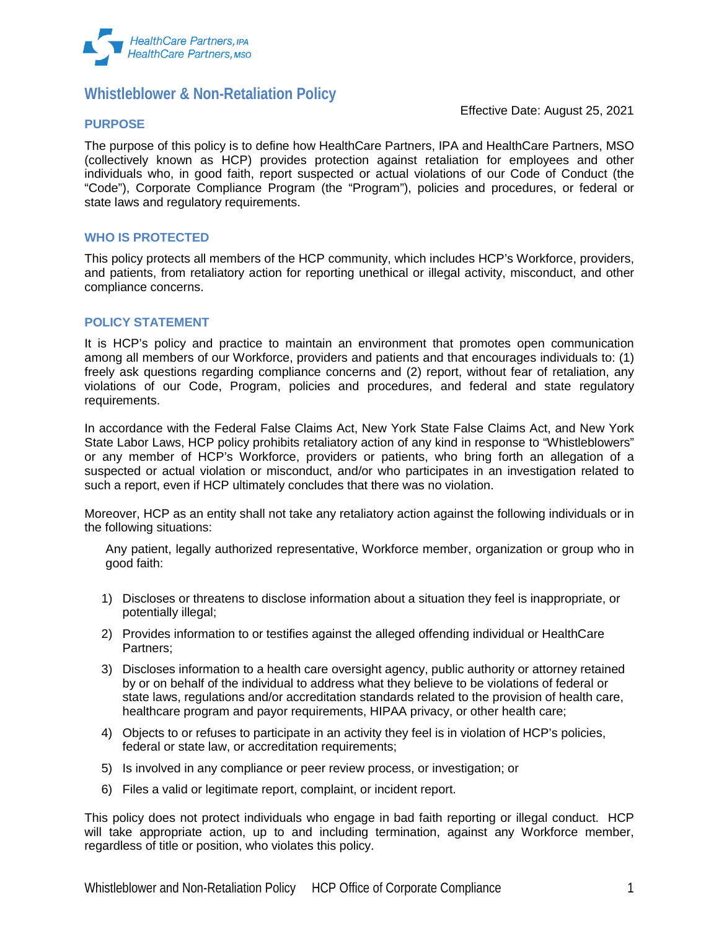

# **Whistleblower & Non-Retaliation Policy**

## **PURPOSE**

Effective Date: August 25, 2021

The purpose of this policy is to define how HealthCare Partners, IPA and HealthCare Partners, MSO (collectively known as HCP) provides protection against retaliation for employees and other individuals who, in good faith, report suspected or actual violations of our Code of Conduct (the "Code"), Corporate Compliance Program (the "Program"), policies and procedures, or federal or state laws and regulatory requirements.

## **WHO IS PROTECTED**

This policy protects all members of the HCP community, which includes HCP's Workforce, providers, and patients, from retaliatory action for reporting unethical or illegal activity, misconduct, and other compliance concerns.

# **POLICY STATEMENT**

It is HCP's policy and practice to maintain an environment that promotes open communication among all members of our Workforce, providers and patients and that encourages individuals to: (1) freely ask questions regarding compliance concerns and (2) report, without fear of retaliation, any violations of our Code, Program, policies and procedures, and federal and state regulatory requirements.

In accordance with the Federal False Claims Act, New York State False Claims Act, and New York State Labor Laws, HCP policy prohibits retaliatory action of any kind in response to "Whistleblowers" or any member of HCP's Workforce, providers or patients, who bring forth an allegation of a suspected or actual violation or misconduct, and/or who participates in an investigation related to such a report, even if HCP ultimately concludes that there was no violation.

Moreover, HCP as an entity shall not take any retaliatory action against the following individuals or in the following situations:

Any patient, legally authorized representative, Workforce member, organization or group who in good faith:

- 1) Discloses or threatens to disclose information about a situation they feel is inappropriate, or potentially illegal;
- 2) Provides information to or testifies against the alleged offending individual or HealthCare Partners;
- 3) Discloses information to a health care oversight agency, public authority or attorney retained by or on behalf of the individual to address what they believe to be violations of federal or state laws, regulations and/or accreditation standards related to the provision of health care, healthcare program and payor requirements, HIPAA privacy, or other health care;
- 4) Objects to or refuses to participate in an activity they feel is in violation of HCP's policies, federal or state law, or accreditation requirements;
- 5) Is involved in any compliance or peer review process, or investigation; or
- 6) Files a valid or legitimate report, complaint, or incident report.

This policy does not protect individuals who engage in bad faith reporting or illegal conduct. HCP will take appropriate action, up to and including termination, against any Workforce member, regardless of title or position, who violates this policy.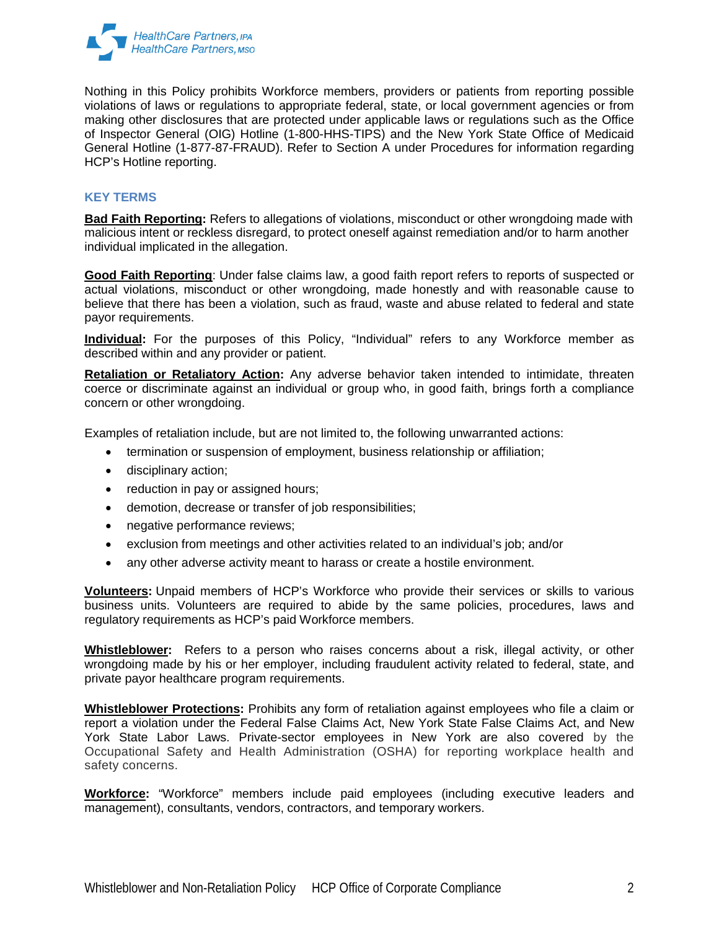

Nothing in this Policy prohibits Workforce members, providers or patients from reporting possible violations of laws or regulations to appropriate federal, state, or local government agencies or from making other disclosures that are protected under applicable laws or regulations such as the Office of Inspector General (OIG) Hotline (1-800-HHS-TIPS) and the New York State Office of Medicaid General Hotline (1-877-87-FRAUD). Refer to Section A under Procedures for information regarding HCP's Hotline reporting.

# **KEY TERMS**

**Bad Faith Reporting:** Refers to allegations of violations, misconduct or other wrongdoing made with malicious intent or reckless disregard, to protect oneself against remediation and/or to harm another individual implicated in the allegation.

**Good Faith Reporting**: Under false claims law, a good faith report refers to reports of suspected or actual violations, misconduct or other wrongdoing, made honestly and with reasonable cause to believe that there has been a violation, such as fraud, waste and abuse related to federal and state payor requirements.

**Individual:** For the purposes of this Policy, "Individual" refers to any Workforce member as described within and any provider or patient.

**Retaliation or Retaliatory Action:** Any adverse behavior taken intended to intimidate, threaten coerce or discriminate against an individual or group who, in good faith, brings forth a compliance concern or other wrongdoing.

Examples of retaliation include, but are not limited to, the following unwarranted actions:

- termination or suspension of employment, business relationship or affiliation;
- disciplinary action;
- reduction in pay or assigned hours;
- demotion, decrease or transfer of job responsibilities;
- negative performance reviews;
- exclusion from meetings and other activities related to an individual's job; and/or
- any other adverse activity meant to harass or create a hostile environment.

**Volunteers:** Unpaid members of HCP's Workforce who provide their services or skills to various business units. Volunteers are required to abide by the same policies, procedures, laws and regulatory requirements as HCP's paid Workforce members.

**Whistleblower:** Refers to a person who raises concerns about a risk, illegal activity, or other wrongdoing made by his or her employer, including fraudulent activity related to federal, state, and private payor healthcare program requirements.

**Whistleblower Protections:** Prohibits any form of retaliation against employees who file a claim or report a violation under the Federal False Claims Act, New York State False Claims Act, and New York State Labor Laws. Private-sector employees in New York are also covered by the Occupational Safety and Health Administration (OSHA) for reporting workplace health and safety concerns.

**Workforce:** "Workforce" members include paid employees (including executive leaders and management), consultants, vendors, contractors, and temporary workers.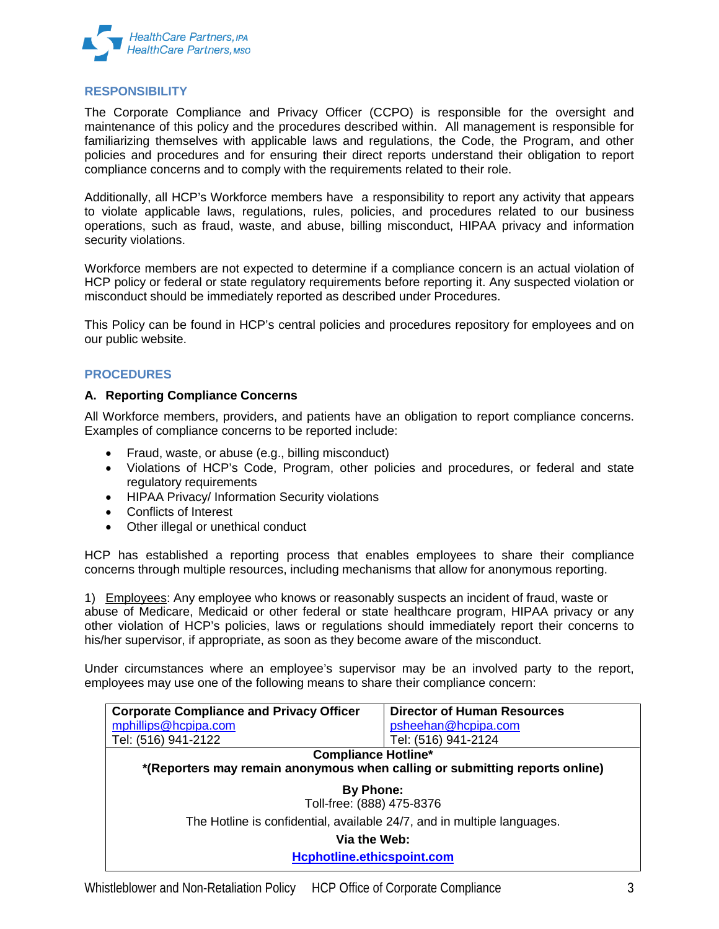

# **RESPONSIBILITY**

The Corporate Compliance and Privacy Officer (CCPO) is responsible for the oversight and maintenance of this policy and the procedures described within. All management is responsible for familiarizing themselves with applicable laws and regulations, the Code, the Program, and other policies and procedures and for ensuring their direct reports understand their obligation to report compliance concerns and to comply with the requirements related to their role.

Additionally, all HCP's Workforce members have a responsibility to report any activity that appears to violate applicable laws, regulations, rules, policies, and procedures related to our business operations, such as fraud, waste, and abuse, billing misconduct, HIPAA privacy and information security violations.

Workforce members are not expected to determine if a compliance concern is an actual violation of HCP policy or federal or state regulatory requirements before reporting it. Any suspected violation or misconduct should be immediately reported as described under Procedures.

This Policy can be found in HCP's central policies and procedures repository for employees and on our public website.

# **PROCEDURES**

## **A. Reporting Compliance Concerns**

All Workforce members, providers, and patients have an obligation to report compliance concerns. Examples of compliance concerns to be reported include:

- Fraud, waste, or abuse (e.g., billing misconduct)
- Violations of HCP's Code, Program, other policies and procedures, or federal and state regulatory requirements
- HIPAA Privacy/ Information Security violations
- Conflicts of Interest
- Other illegal or unethical conduct

HCP has established a reporting process that enables employees to share their compliance concerns through multiple resources, including mechanisms that allow for anonymous reporting.

1) Employees: Any employee who knows or reasonably suspects an incident of fraud, waste or abuse of Medicare, Medicaid or other federal or state healthcare program, HIPAA privacy or any other violation of HCP's policies, laws or regulations should immediately report their concerns to his/her supervisor, if appropriate, as soon as they become aware of the misconduct.

Under circumstances where an employee's supervisor may be an involved party to the report, employees may use one of the following means to share their compliance concern:

| <b>Corporate Compliance and Privacy Officer</b>                             | <b>Director of Human Resources</b> |
|-----------------------------------------------------------------------------|------------------------------------|
| mphillips@hcpipa.com                                                        | psheehan@hcpipa.com                |
| Tel: (516) 941-2122                                                         | Tel: (516) 941-2124                |
| <b>Compliance Hotline*</b>                                                  |                                    |
| *(Reporters may remain anonymous when calling or submitting reports online) |                                    |
| <b>By Phone:</b><br>Toll-free: (888) 475-8376                               |                                    |
| The Hotline is confidential, available 24/7, and in multiple languages.     |                                    |
| Via the Web:                                                                |                                    |
| Hcphotline.ethicspoint.com                                                  |                                    |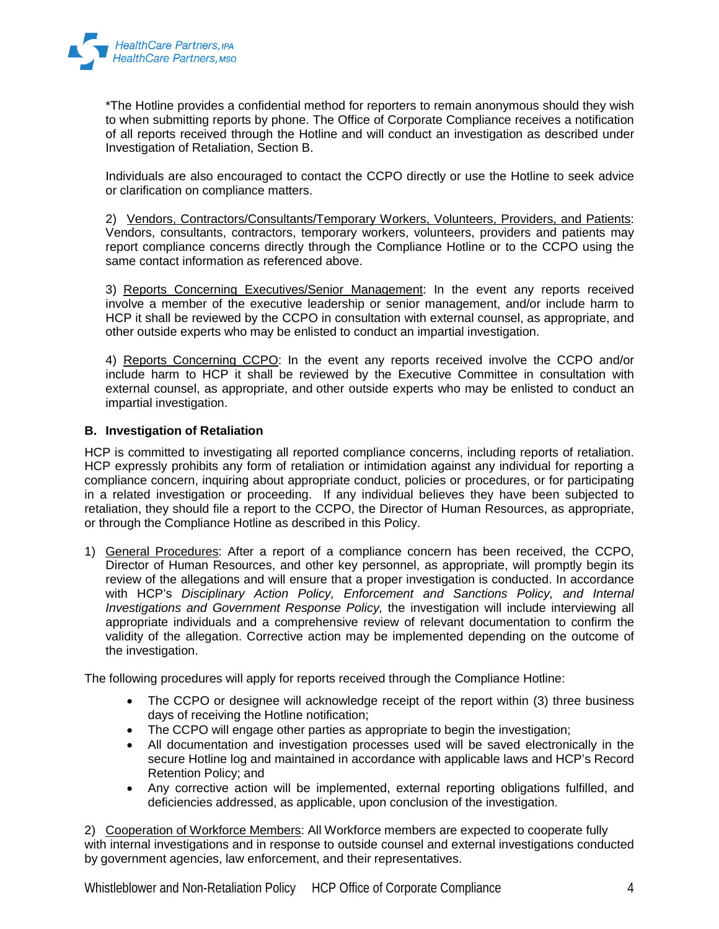

\*The Hotline provides a confidential method for reporters to remain anonymous should they wish to when submitting reports by phone. The Office of Corporate Compliance receives a notification of all reports received through the Hotline and will conduct an investigation as described under Investigation of Retaliation, Section B.

Individuals are also encouraged to contact the CCPO directly or use the Hotline to seek advice or clarification on compliance matters.

2) Vendors, Contractors/Consultants/Temporary Workers, Volunteers, Providers, and Patients: Vendors, consultants, contractors, temporary workers, volunteers, providers and patients may report compliance concerns directly through the Compliance Hotline or to the CCPO using the same contact information as referenced above.

3) Reports Concerning Executives/Senior Management: In the event any reports received involve a member of the executive leadership or senior management, and/or include harm to HCP it shall be reviewed by the CCPO in consultation with external counsel, as appropriate, and other outside experts who may be enlisted to conduct an impartial investigation.

4) Reports Concerning CCPO: In the event any reports received involve the CCPO and/or include harm to HCP it shall be reviewed by the Executive Committee in consultation with external counsel, as appropriate, and other outside experts who may be enlisted to conduct an impartial investigation.

# **B. Investigation of Retaliation**

HCP is committed to investigating all reported compliance concerns, including reports of retaliation. HCP expressly prohibits any form of retaliation or intimidation against any individual for reporting a compliance concern, inquiring about appropriate conduct, policies or procedures, or for participating in a related investigation or proceeding. If any individual believes they have been subjected to retaliation, they should file a report to the CCPO, the Director of Human Resources, as appropriate, or through the Compliance Hotline as described in this Policy.

1) General Procedures: After a report of a compliance concern has been received, the CCPO, Director of Human Resources, and other key personnel, as appropriate, will promptly begin its review of the allegations and will ensure that a proper investigation is conducted. In accordance with HCP's *Disciplinary Action Policy, Enforcement and Sanctions Policy, and Internal Investigations and Government Response Policy,* the investigation will include interviewing all appropriate individuals and a comprehensive review of relevant documentation to confirm the validity of the allegation. Corrective action may be implemented depending on the outcome of the investigation.

The following procedures will apply for reports received through the Compliance Hotline:

- The CCPO or designee will acknowledge receipt of the report within (3) three business days of receiving the Hotline notification;
- The CCPO will engage other parties as appropriate to begin the investigation;
- All documentation and investigation processes used will be saved electronically in the secure Hotline log and maintained in accordance with applicable laws and HCP's Record Retention Policy; and
- Any corrective action will be implemented, external reporting obligations fulfilled, and deficiencies addressed, as applicable, upon conclusion of the investigation.

2) Cooperation of Workforce Members: All Workforce members are expected to cooperate fully with internal investigations and in response to outside counsel and external investigations conducted by government agencies, law enforcement, and their representatives.